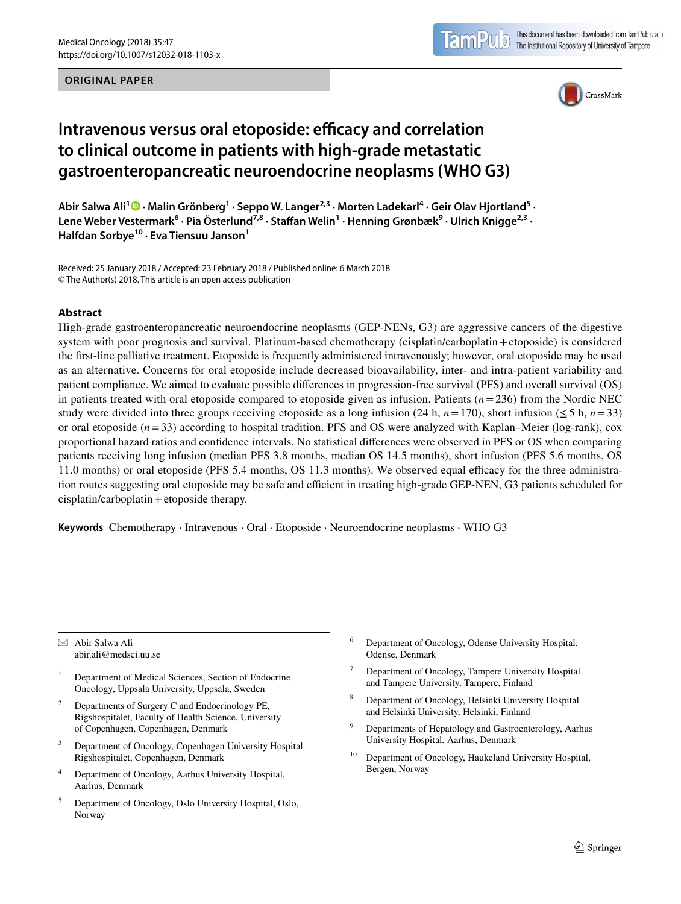#### **ORIGINAL PAPER**



# **Intravenous versus oral etoposide: efficacy and correlation to clinical outcome in patients with high‑grade metastatic gastroenteropancreatic neuroendocrine neoplasms (WHO G3)**

Abir Salwa Ali<sup>1</sup><sup>®</sup> • Malin Grönberg<sup>1</sup> • Seppo W. Langer<sup>2,3</sup> • Morten Ladekarl<sup>4</sup> • Geir Olav Hjortland<sup>5</sup> • Lene Weber Vestermark<sup>6</sup> · Pia Österlund<sup>7,8</sup> · Staffan Welin<sup>1</sup> · Henning Grønbæk<sup>9</sup> · Ulrich Knigge<sup>2,3</sup> · **Halfdan Sorbye10 · Eva Tiensuu Janson1**

Received: 25 January 2018 / Accepted: 23 February 2018 / Published online: 6 March 2018 © The Author(s) 2018. This article is an open access publication

#### **Abstract**

High-grade gastroenteropancreatic neuroendocrine neoplasms (GEP-NENs, G3) are aggressive cancers of the digestive system with poor prognosis and survival. Platinum-based chemotherapy (cisplatin/carboplatin+etoposide) is considered the frst-line palliative treatment. Etoposide is frequently administered intravenously; however, oral etoposide may be used as an alternative. Concerns for oral etoposide include decreased bioavailability, inter- and intra-patient variability and patient compliance. We aimed to evaluate possible diferences in progression-free survival (PFS) and overall survival (OS) in patients treated with oral etoposide compared to etoposide given as infusion. Patients (*n*=236) from the Nordic NEC study were divided into three groups receiving etoposide as a long infusion (24 h,  $n=170$ ), short infusion ( $\leq 5$  h,  $n=33$ ) or oral etoposide (*n*=33) according to hospital tradition. PFS and OS were analyzed with Kaplan–Meier (log-rank), cox proportional hazard ratios and confdence intervals. No statistical diferences were observed in PFS or OS when comparing patients receiving long infusion (median PFS 3.8 months, median OS 14.5 months), short infusion (PFS 5.6 months, OS 11.0 months) or oral etoposide (PFS 5.4 months, OS 11.3 months). We observed equal efficacy for the three administration routes suggesting oral etoposide may be safe and efficient in treating high-grade GEP-NEN, G3 patients scheduled for cisplatin/carboplatin+etoposide therapy.

**Keywords** Chemotherapy · Intravenous · Oral · Etoposide · Neuroendocrine neoplasms · WHO G3

 $\boxtimes$  Abir Salwa Ali abir.ali@medsci.uu.se

- <sup>1</sup> Department of Medical Sciences, Section of Endocrine Oncology, Uppsala University, Uppsala, Sweden
- <sup>2</sup> Departments of Surgery C and Endocrinology PE, Rigshospitalet, Faculty of Health Science, University of Copenhagen, Copenhagen, Denmark
- <sup>3</sup> Department of Oncology, Copenhagen University Hospital Rigshospitalet, Copenhagen, Denmark
- <sup>4</sup> Department of Oncology, Aarhus University Hospital, Aarhus, Denmark
- <sup>5</sup> Department of Oncology, Oslo University Hospital, Oslo, Norway
- <sup>6</sup> Department of Oncology, Odense University Hospital, Odense, Denmark
- Department of Oncology, Tampere University Hospital and Tampere University, Tampere, Finland
- <sup>8</sup> Department of Oncology, Helsinki University Hospital and Helsinki University, Helsinki, Finland
- <sup>9</sup> Departments of Hepatology and Gastroenterology, Aarhus University Hospital, Aarhus, Denmark
- <sup>10</sup> Department of Oncology, Haukeland University Hospital, Bergen, Norway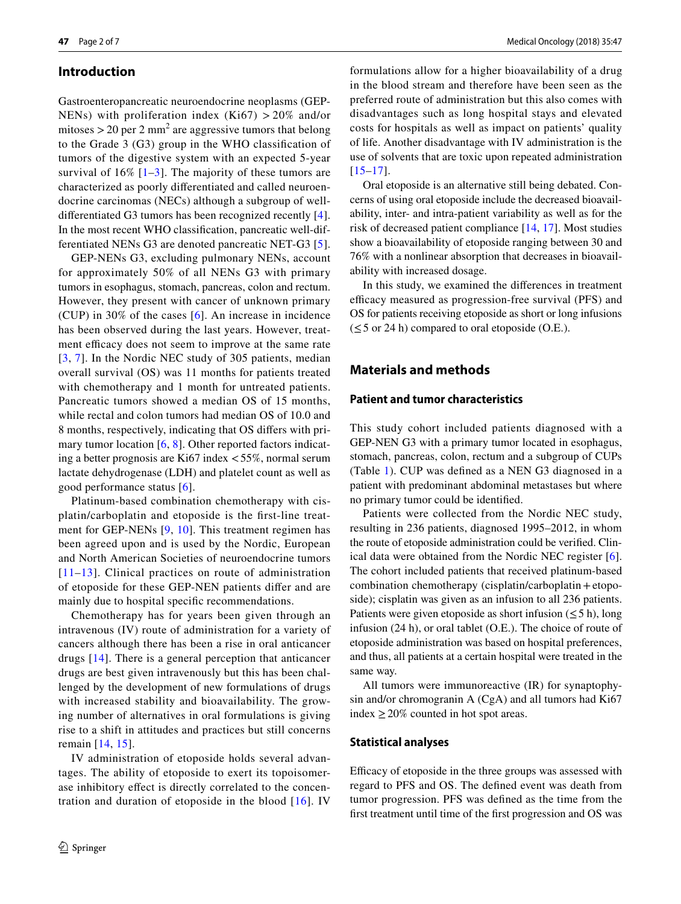## **Introduction**

Gastroenteropancreatic neuroendocrine neoplasms (GEP-NENs) with proliferation index  $(Ki67) > 20\%$  and/or mitoses  $>$  20 per 2 mm<sup>2</sup> are aggressive tumors that belong to the Grade 3 (G3) group in the WHO classifcation of tumors of the digestive system with an expected 5-year survival of  $16\%$  [[1–](#page-5-0)[3](#page-5-1)]. The majority of these tumors are characterized as poorly diferentiated and called neuroendocrine carcinomas (NECs) although a subgroup of welldiferentiated G3 tumors has been recognized recently [[4](#page-5-2)]. In the most recent WHO classifcation, pancreatic well-differentiated NENs G3 are denoted pancreatic NET-G3 [[5](#page-5-3)].

GEP-NENs G3, excluding pulmonary NENs, account for approximately 50% of all NENs G3 with primary tumors in esophagus, stomach, pancreas, colon and rectum. However, they present with cancer of unknown primary (CUP) in 30% of the cases [[6](#page-5-4)]. An increase in incidence has been observed during the last years. However, treatment efficacy does not seem to improve at the same rate [[3,](#page-5-1) [7\]](#page-5-5). In the Nordic NEC study of 305 patients, median overall survival (OS) was 11 months for patients treated with chemotherapy and 1 month for untreated patients. Pancreatic tumors showed a median OS of 15 months, while rectal and colon tumors had median OS of 10.0 and 8 months, respectively, indicating that OS difers with pri-mary tumor location [[6,](#page-5-4) [8](#page-5-6)]. Other reported factors indicating a better prognosis are Ki67 index <55%, normal serum lactate dehydrogenase (LDH) and platelet count as well as good performance status [[6\]](#page-5-4).

Platinum-based combination chemotherapy with cisplatin/carboplatin and etoposide is the frst-line treatment for GEP-NENs [[9](#page-5-7), [10](#page-5-8)]. This treatment regimen has been agreed upon and is used by the Nordic, European and North American Societies of neuroendocrine tumors [[11](#page-5-9)–[13\]](#page-5-10). Clinical practices on route of administration of etoposide for these GEP-NEN patients difer and are mainly due to hospital specifc recommendations.

Chemotherapy has for years been given through an intravenous (IV) route of administration for a variety of cancers although there has been a rise in oral anticancer drugs [[14\]](#page-5-11). There is a general perception that anticancer drugs are best given intravenously but this has been challenged by the development of new formulations of drugs with increased stability and bioavailability. The growing number of alternatives in oral formulations is giving rise to a shift in attitudes and practices but still concerns remain [[14](#page-5-11), [15](#page-5-12)].

IV administration of etoposide holds several advantages. The ability of etoposide to exert its topoisomerase inhibitory efect is directly correlated to the concentration and duration of etoposide in the blood  $[16]$  $[16]$  $[16]$ . IV

formulations allow for a higher bioavailability of a drug in the blood stream and therefore have been seen as the preferred route of administration but this also comes with disadvantages such as long hospital stays and elevated costs for hospitals as well as impact on patients' quality of life. Another disadvantage with IV administration is the use of solvents that are toxic upon repeated administration  $[15–17]$  $[15–17]$  $[15–17]$ .

Oral etoposide is an alternative still being debated. Concerns of using oral etoposide include the decreased bioavailability, inter- and intra-patient variability as well as for the risk of decreased patient compliance [[14,](#page-5-11) [17\]](#page-5-14). Most studies show a bioavailability of etoposide ranging between 30 and 76% with a nonlinear absorption that decreases in bioavailability with increased dosage.

In this study, we examined the diferences in treatment efficacy measured as progression-free survival (PFS) and OS for patients receiving etoposide as short or long infusions  $(\leq 5$  or 24 h) compared to oral etoposide (O.E.).

## **Materials and methods**

## **Patient and tumor characteristics**

This study cohort included patients diagnosed with a GEP-NEN G3 with a primary tumor located in esophagus, stomach, pancreas, colon, rectum and a subgroup of CUPs (Table [1\)](#page-2-0). CUP was defned as a NEN G3 diagnosed in a patient with predominant abdominal metastases but where no primary tumor could be identifed.

Patients were collected from the Nordic NEC study, resulting in 236 patients, diagnosed 1995–2012, in whom the route of etoposide administration could be verifed. Clinical data were obtained from the Nordic NEC register [\[6](#page-5-4)]. The cohort included patients that received platinum-based combination chemotherapy (cisplatin/carboplatin+etoposide); cisplatin was given as an infusion to all 236 patients. Patients were given etoposide as short infusion ( $\leq$  5 h), long infusion (24 h), or oral tablet (O.E.). The choice of route of etoposide administration was based on hospital preferences, and thus, all patients at a certain hospital were treated in the same way.

All tumors were immunoreactive (IR) for synaptophysin and/or chromogranin A (CgA) and all tumors had Ki67 index  $\geq$  20% counted in hot spot areas.

#### **Statistical analyses**

Efficacy of etoposide in the three groups was assessed with regard to PFS and OS. The defned event was death from tumor progression. PFS was defned as the time from the frst treatment until time of the frst progression and OS was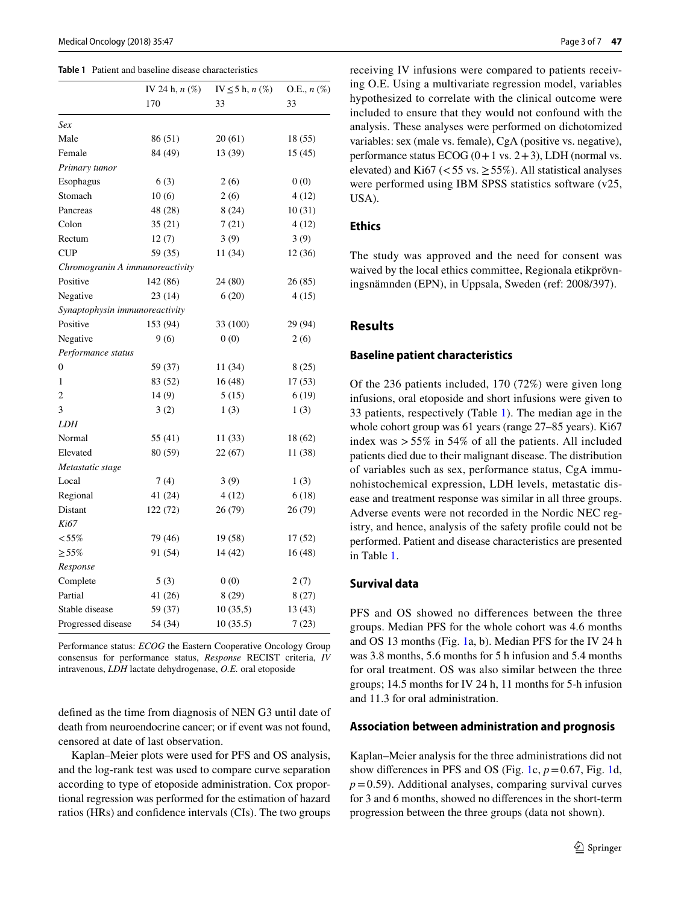|                                 | IV 24 h, $n$ $(\%)$ | IV $\leq$ 5 h, n $(\%)$ | O.E., $n$ $(\%)$ |  |
|---------------------------------|---------------------|-------------------------|------------------|--|
|                                 | 170                 | 33                      | 33               |  |
| Sex                             |                     |                         |                  |  |
| Male                            | 86 (51)             | 20(61)                  | 18(55)           |  |
| Female                          | 84 (49)             | 13 (39)                 | 15(45)           |  |
| Primary tumor                   |                     |                         |                  |  |
| Esophagus                       | 6(3)                | 2(6)                    | 0(0)             |  |
| Stomach                         | 10(6)               | 2(6)                    | 4(12)            |  |
| Pancreas                        | 48 (28)             | 8(24)                   | 10(31)           |  |
| Colon                           | 35(21)              | 7(21)                   | 4(12)            |  |
| Rectum                          | 12(7)               | 3(9)                    | 3(9)             |  |
| <b>CUP</b>                      | 59 (35)             | 11 (34)                 | 12(36)           |  |
| Chromogranin A immunoreactivity |                     |                         |                  |  |
| Positive                        | 142 (86)            | 24 (80)                 | 26 (85)          |  |
| Negative                        | 23 (14)             | 6(20)                   | 4(15)            |  |
| Synaptophysin immunoreactivity  |                     |                         |                  |  |
| Positive                        | 153 (94)            | 33 (100)                | 29 (94)          |  |
| Negative                        | 9(6)                | 0(0)                    | 2(6)             |  |
| Performance status              |                     |                         |                  |  |
| 0                               | 59 (37)             | 11 (34)                 | 8(25)            |  |
| 1                               | 83 (52)             | 16(48)                  | 17(53)           |  |
| $\overline{c}$                  | 14(9)               | 5(15)                   | 6(19)            |  |
| 3                               | 3(2)                | 1(3)                    | 1(3)             |  |
| <b>LDH</b>                      |                     |                         |                  |  |
| Normal                          | 55 (41)             | 11(33)                  | 18 (62)          |  |
| Elevated                        | 80 (59)             | 22 (67)                 | 11 (38)          |  |
| Metastatic stage                |                     |                         |                  |  |
| Local                           | 7(4)                | 3(9)                    | 1(3)             |  |
| Regional                        | 41 (24)             | 4(12)                   | 6(18)            |  |
| Distant                         | 122(72)             | 26(79)                  | 26(79)           |  |
| Ki67                            |                     |                         |                  |  |
| $< 55\%$                        | 79 (46)             | 19(58)                  | 17(52)           |  |
| $\geq 55\%$                     | 91 (54)             | 14 (42)                 | 16(48)           |  |
| Response                        |                     |                         |                  |  |
| Complete                        | 5(3)                | 0(0)                    | 2(7)             |  |
| Partial                         | 41(26)              | 8(29)                   | 8(27)            |  |
| Stable disease                  | 59 (37)             | 10(35,5)                | 13(43)           |  |
| Progressed disease              | 54 (34)             | 10(35.5)                | 7(23)            |  |

#### <span id="page-2-0"></span>**Table 1** Patient and baseline disease characteristics

Performance status: *ECOG* the Eastern Cooperative Oncology Group consensus for performance status, *Response* RECIST criteria, *IV* intravenous, *LDH* lactate dehydrogenase, *O.E.* oral etoposide

defned as the time from diagnosis of NEN G3 until date of death from neuroendocrine cancer; or if event was not found, censored at date of last observation.

Kaplan–Meier plots were used for PFS and OS analysis, and the log-rank test was used to compare curve separation according to type of etoposide administration. Cox proportional regression was performed for the estimation of hazard ratios (HRs) and confdence intervals (CIs). The two groups receiving IV infusions were compared to patients receiving O.E. Using a multivariate regression model, variables hypothesized to correlate with the clinical outcome were included to ensure that they would not confound with the analysis. These analyses were performed on dichotomized variables: sex (male vs. female), CgA (positive vs. negative), performance status ECOG  $(0+1 \text{ vs. } 2+3)$ , LDH (normal vs. elevated) and Ki67 (<55 vs.  $\geq$  55%). All statistical analyses were performed using IBM SPSS statistics software (v25, USA).

## **Ethics**

The study was approved and the need for consent was waived by the local ethics committee, Regionala etikprövningsnämnden (EPN), in Uppsala, Sweden (ref: 2008/397).

## **Results**

#### **Baseline patient characteristics**

Of the 236 patients included, 170 (72%) were given long infusions, oral etoposide and short infusions were given to 33 patients, respectively (Table [1](#page-2-0)). The median age in the whole cohort group was 61 years (range 27–85 years). Ki67 index was  $> 55\%$  in 54% of all the patients. All included patients died due to their malignant disease. The distribution of variables such as sex, performance status, CgA immunohistochemical expression, LDH levels, metastatic disease and treatment response was similar in all three groups. Adverse events were not recorded in the Nordic NEC registry, and hence, analysis of the safety profle could not be performed. Patient and disease characteristics are presented in Table [1.](#page-2-0)

### **Survival data**

PFS and OS showed no differences between the three groups. Median PFS for the whole cohort was 4.6 months and OS 13 months (Fig. [1a](#page-3-0), b). Median PFS for the IV 24 h was 3.8 months, 5.6 months for 5 h infusion and 5.4 months for oral treatment. OS was also similar between the three groups; 14.5 months for IV 24 h, 11 months for 5-h infusion and 11.3 for oral administration.

#### **Association between administration and prognosis**

Kaplan–Meier analysis for the three administrations did not show differences in PFS and OS (Fig. [1](#page-3-0)c,  $p = 0.67$ , Fig. [1d](#page-3-0),  $p=0.59$ ). Additional analyses, comparing survival curves for 3 and 6 months, showed no diferences in the short-term progression between the three groups (data not shown).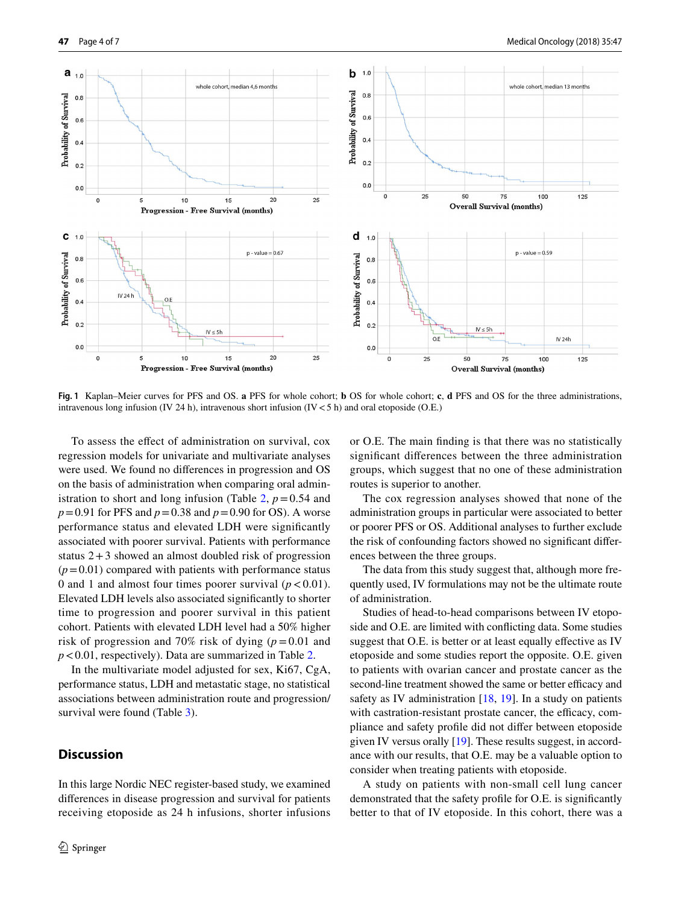

<span id="page-3-0"></span>**Fig. 1** Kaplan–Meier curves for PFS and OS. **a** PFS for whole cohort; **b** OS for whole cohort; **c**, **d** PFS and OS for the three administrations, intravenous long infusion (IV 24 h), intravenous short infusion (IV  $<$  5 h) and oral etoposide (O.E.)

To assess the efect of administration on survival, cox regression models for univariate and multivariate analyses were used. We found no diferences in progression and OS on the basis of administration when comparing oral admin-istration to short and long infusion (Table [2,](#page-4-0)  $p = 0.54$  and *p*=0.91 for PFS and *p*=0.38 and *p*=0.90 for OS). A worse performance status and elevated LDH were signifcantly associated with poorer survival. Patients with performance status  $2+3$  showed an almost doubled risk of progression  $(p=0.01)$  compared with patients with performance status 0 and 1 and almost four times poorer survival  $(p < 0.01)$ . Elevated LDH levels also associated signifcantly to shorter time to progression and poorer survival in this patient cohort. Patients with elevated LDH level had a 50% higher risk of progression and 70% risk of dying  $(p=0.01$  and *p*<0.01, respectively). Data are summarized in Table [2.](#page-4-0)

In the multivariate model adjusted for sex, Ki67, CgA, performance status, LDH and metastatic stage, no statistical associations between administration route and progression/ survival were found (Table [3](#page-4-1)).

# **Discussion**

In this large Nordic NEC register-based study, we examined diferences in disease progression and survival for patients receiving etoposide as 24 h infusions, shorter infusions or O.E. The main fnding is that there was no statistically signifcant diferences between the three administration groups, which suggest that no one of these administration routes is superior to another.

The cox regression analyses showed that none of the administration groups in particular were associated to better or poorer PFS or OS. Additional analyses to further exclude the risk of confounding factors showed no signifcant diferences between the three groups.

The data from this study suggest that, although more frequently used, IV formulations may not be the ultimate route of administration.

Studies of head-to-head comparisons between IV etoposide and O.E. are limited with conficting data. Some studies suggest that O.E. is better or at least equally effective as IV etoposide and some studies report the opposite. O.E. given to patients with ovarian cancer and prostate cancer as the second-line treatment showed the same or better efficacy and safety as IV administration [\[18](#page-5-15), [19\]](#page-5-16). In a study on patients with castration-resistant prostate cancer, the efficacy, compliance and safety profle did not difer between etoposide given IV versus orally [[19](#page-5-16)]. These results suggest, in accordance with our results, that O.E. may be a valuable option to consider when treating patients with etoposide.

A study on patients with non-small cell lung cancer demonstrated that the safety profle for O.E. is signifcantly better to that of IV etoposide. In this cohort, there was a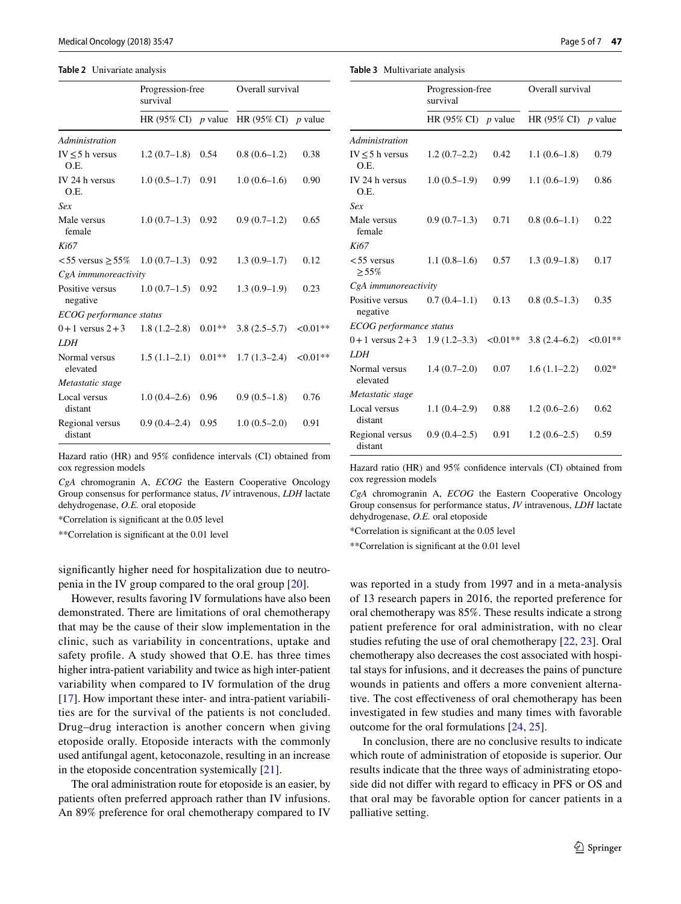#### <span id="page-4-0"></span>**Table 2** Univariate analysis

|                              | Progression-free<br>survival |          | Overall survival                |           |
|------------------------------|------------------------------|----------|---------------------------------|-----------|
|                              |                              |          | HR (95% CI) p value HR (95% CI) | $p$ value |
| Administration               |                              |          |                                 |           |
| $IV \leq 5$ h versus<br>O.E. | $1.2(0.7-1.8)$               | 0.54     | $0.8(0.6-1.2)$                  | 0.38      |
| IV 24 h versus<br>O.E.       | $1.0(0.5-1.7)$               | 0.91     | $1.0(0.6-1.6)$                  | 0.90      |
| Sex                          |                              |          |                                 |           |
| Male versus<br>female        | $1.0(0.7-1.3)$               | 0.92     | $0.9(0.7-1.2)$                  | 0.65      |
| Ki67                         |                              |          |                                 |           |
| $< 55$ versus $> 55\%$       | $1.0(0.7-1.3)$               | 0.92     | $1.3(0.9-1.7)$                  | 0.12      |
| CgA immunoreactivity         |                              |          |                                 |           |
| Positive versus<br>negative  | $1.0(0.7-1.5)$               | 0.92     | $1.3(0.9-1.9)$                  | 0.23      |
| ECOG performance status      |                              |          |                                 |           |
| $0+1$ versus $2+3$           | $1.8(1.2-2.8)$               | $0.01**$ | $3.8(2.5-5.7)$                  | $<0.01**$ |
| <b>LDH</b>                   |                              |          |                                 |           |
| Normal versus<br>elevated    | $1.5(1.1-2.1)$               | $0.01**$ | $1.7(1.3-2.4)$                  | $<0.01**$ |
| Metastatic stage             |                              |          |                                 |           |
| Local versus<br>distant      | $1.0(0.4-2.6)$               | 0.96     | $0.9(0.5-1.8)$                  | 0.76      |
| Regional versus<br>distant   | $0.9(0.4-2.4)$               | 0.95     | $1.0(0.5-2.0)$                  | 0.91      |

Hazard ratio (HR) and 95% confdence intervals (CI) obtained from cox regression models

*CgA* chromogranin A, *ECOG* the Eastern Cooperative Oncology Group consensus for performance status, *IV* intravenous, *LDH* lactate dehydrogenase, *O.E.* oral etoposide

\*Correlation is signifcant at the 0.05 level

\*\*Correlation is signifcant at the 0.01 level

signifcantly higher need for hospitalization due to neutropenia in the IV group compared to the oral group [[20\]](#page-5-17).

However, results favoring IV formulations have also been demonstrated. There are limitations of oral chemotherapy that may be the cause of their slow implementation in the clinic, such as variability in concentrations, uptake and safety profle. A study showed that O.E. has three times higher intra-patient variability and twice as high inter-patient variability when compared to IV formulation of the drug [\[17](#page-5-14)]. How important these inter- and intra-patient variabilities are for the survival of the patients is not concluded. Drug–drug interaction is another concern when giving etoposide orally. Etoposide interacts with the commonly used antifungal agent, ketoconazole, resulting in an increase in the etoposide concentration systemically [[21\]](#page-6-0).

The oral administration route for etoposide is an easier, by patients often preferred approach rather than IV infusions. An 89% preference for oral chemotherapy compared to IV

<span id="page-4-1"></span>**Table 3** Multivariate analysis

|                              | Progression-free<br>survival |           | Overall survival    |             |
|------------------------------|------------------------------|-----------|---------------------|-------------|
|                              | HR $(95\%$ CI)               | $p$ value | HR (95% CI) p value |             |
| Administration               |                              |           |                     |             |
| IV $\leq$ 5 h versus<br>O.E. | $1.2(0.7-2.2)$               | 0.42      | $1.1(0.6-1.8)$      | 0.79        |
| IV 24 h versus<br>O.E.       | $1.0(0.5-1.9)$               | 0.99      | $1.1(0.6-1.9)$      | 0.86        |
| Sex                          |                              |           |                     |             |
| Male versus<br>female        | $0.9(0.7-1.3)$               | 0.71      | $0.8(0.6-1.1)$      | 0.22        |
| Ki67                         |                              |           |                     |             |
| $< 55$ versus<br>$> 55\%$    | $1.1(0.8-1.6)$               | 0.57      | $1.3(0.9-1.8)$      | 0.17        |
| CgA <i>immunoreactivity</i>  |                              |           |                     |             |
| Positive versus<br>negative  | $0.7(0.4-1.1)$               | 0.13      | $0.8(0.5-1.3)$      | 0.35        |
| ECOG performance status      |                              |           |                     |             |
| $0+1$ versus $2+3$           | $1.9(1.2-3.3)$               | $<0.01**$ | $3.8(2.4-6.2)$      | ${<}0.01**$ |
| LDH                          |                              |           |                     |             |
| Normal versus<br>elevated    | $1.4(0.7-2.0)$               | 0.07      | $1.6(1.1-2.2)$      | $0.02*$     |
| Metastatic stage             |                              |           |                     |             |
| Local versus<br>distant      | $1.1(0.4-2.9)$               | 0.88      | $1.2(0.6-2.6)$      | 0.62        |
| Regional versus<br>distant   | $0.9(0.4-2.5)$               | 0.91      | $1.2(0.6-2.5)$      | 0.59        |

Hazard ratio (HR) and 95% confdence intervals (CI) obtained from cox regression models

*CgA* chromogranin A, *ECOG* the Eastern Cooperative Oncology Group consensus for performance status, *IV* intravenous, *LDH* lactate dehydrogenase, *O.E.* oral etoposide

\*Correlation is signifcant at the 0.05 level

\*\*Correlation is signifcant at the 0.01 level

was reported in a study from 1997 and in a meta-analysis of 13 research papers in 2016, the reported preference for oral chemotherapy was 85%. These results indicate a strong patient preference for oral administration, with no clear studies refuting the use of oral chemotherapy [[22](#page-6-1), [23](#page-6-2)]. Oral chemotherapy also decreases the cost associated with hospital stays for infusions, and it decreases the pains of puncture wounds in patients and offers a more convenient alternative. The cost efectiveness of oral chemotherapy has been investigated in few studies and many times with favorable outcome for the oral formulations [[24,](#page-6-3) [25\]](#page-6-4).

In conclusion, there are no conclusive results to indicate which route of administration of etoposide is superior. Our results indicate that the three ways of administrating etoposide did not differ with regard to efficacy in PFS or OS and that oral may be favorable option for cancer patients in a palliative setting.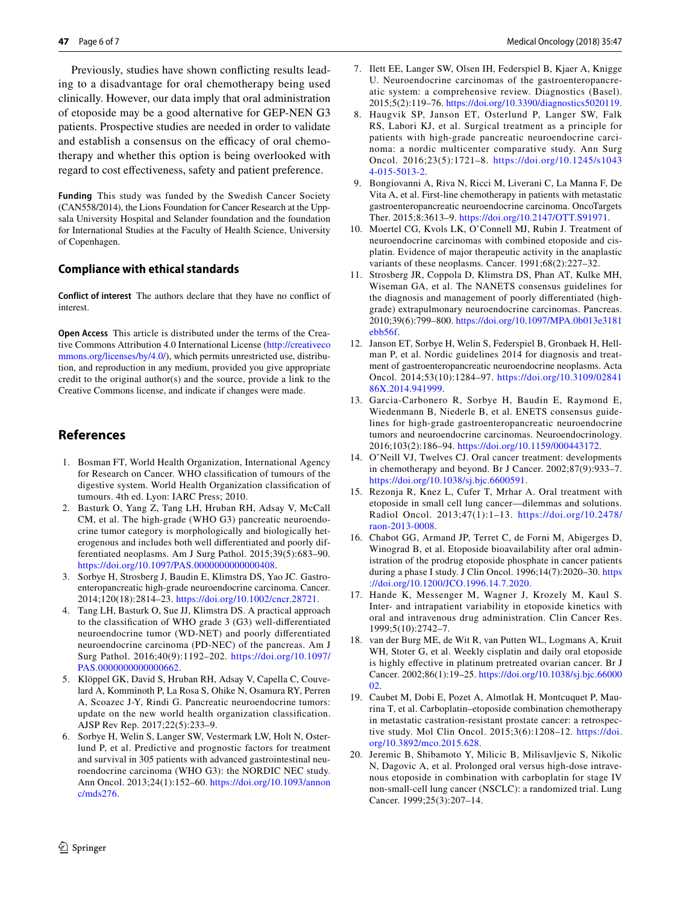Previously, studies have shown conficting results leading to a disadvantage for oral chemotherapy being used clinically. However, our data imply that oral administration of etoposide may be a good alternative for GEP-NEN G3 patients. Prospective studies are needed in order to validate and establish a consensus on the efficacy of oral chemotherapy and whether this option is being overlooked with regard to cost efectiveness, safety and patient preference.

**Funding** This study was funded by the Swedish Cancer Society (CAN558/2014), the Lions Foundation for Cancer Research at the Uppsala University Hospital and Selander foundation and the foundation for International Studies at the Faculty of Health Science, University of Copenhagen.

#### **Compliance with ethical standards**

**Conflict of interest** The authors declare that they have no confict of interest.

**Open Access** This article is distributed under the terms of the Creative Commons Attribution 4.0 International License [\(http://creativeco](http://creativecommons.org/licenses/by/4.0/) [mmons.org/licenses/by/4.0/](http://creativecommons.org/licenses/by/4.0/)), which permits unrestricted use, distribution, and reproduction in any medium, provided you give appropriate credit to the original author(s) and the source, provide a link to the Creative Commons license, and indicate if changes were made.

# **References**

- <span id="page-5-0"></span>1. Bosman FT, World Health Organization, International Agency for Research on Cancer. WHO classifcation of tumours of the digestive system. World Health Organization classifcation of tumours. 4th ed. Lyon: IARC Press; 2010.
- 2. Basturk O, Yang Z, Tang LH, Hruban RH, Adsay V, McCall CM, et al. The high-grade (WHO G3) pancreatic neuroendocrine tumor category is morphologically and biologically heterogenous and includes both well diferentiated and poorly differentiated neoplasms. Am J Surg Pathol. 2015;39(5):683–90. [https://doi.org/10.1097/PAS.0000000000000408.](https://doi.org/10.1097/PAS.0000000000000408)
- <span id="page-5-1"></span>3. Sorbye H, Strosberg J, Baudin E, Klimstra DS, Yao JC. Gastroenteropancreatic high-grade neuroendocrine carcinoma. Cancer. 2014;120(18):2814–23.<https://doi.org/10.1002/cncr.28721>.
- <span id="page-5-2"></span>4. Tang LH, Basturk O, Sue JJ, Klimstra DS. A practical approach to the classifcation of WHO grade 3 (G3) well-diferentiated neuroendocrine tumor (WD-NET) and poorly diferentiated neuroendocrine carcinoma (PD-NEC) of the pancreas. Am J Surg Pathol. 2016;40(9):1192–202. [https://doi.org/10.1097/](https://doi.org/10.1097/PAS.0000000000000662) [PAS.0000000000000662](https://doi.org/10.1097/PAS.0000000000000662).
- <span id="page-5-3"></span>5. Klöppel GK, David S, Hruban RH, Adsay V, Capella C, Couvelard A, Komminoth P, La Rosa S, Ohike N, Osamura RY, Perren A, Scoazec J-Y, Rindi G. Pancreatic neuroendocrine tumors: update on the new world health organization classifcation. AJSP Rev Rep. 2017;22(5):233–9.
- <span id="page-5-4"></span>6. Sorbye H, Welin S, Langer SW, Vestermark LW, Holt N, Osterlund P, et al. Predictive and prognostic factors for treatment and survival in 305 patients with advanced gastrointestinal neuroendocrine carcinoma (WHO G3): the NORDIC NEC study. Ann Oncol. 2013;24(1):152–60. [https://doi.org/10.1093/annon](https://doi.org/10.1093/annonc/mds276) [c/mds276](https://doi.org/10.1093/annonc/mds276).
- Medical Oncology (2018) 35:47
- <span id="page-5-5"></span>7. Ilett EE, Langer SW, Olsen IH, Federspiel B, Kjaer A, Knigge U. Neuroendocrine carcinomas of the gastroenteropancreatic system: a comprehensive review. Diagnostics (Basel). 2015;5(2):119–76.<https://doi.org/10.3390/diagnostics5020119>.
- <span id="page-5-6"></span>8. Haugvik SP, Janson ET, Osterlund P, Langer SW, Falk RS, Labori KJ, et al. Surgical treatment as a principle for patients with high-grade pancreatic neuroendocrine carcinoma: a nordic multicenter comparative study. Ann Surg Oncol. 2016;23(5):1721–8. [https://doi.org/10.1245/s1043](https://doi.org/10.1245/s10434-015-5013-2) [4-015-5013-2.](https://doi.org/10.1245/s10434-015-5013-2)
- <span id="page-5-7"></span>9. Bongiovanni A, Riva N, Ricci M, Liverani C, La Manna F, De Vita A, et al. First-line chemotherapy in patients with metastatic gastroenteropancreatic neuroendocrine carcinoma. OncoTargets Ther. 2015;8:3613–9. [https://doi.org/10.2147/OTT.S91971.](https://doi.org/10.2147/OTT.S91971)
- <span id="page-5-8"></span>10. Moertel CG, Kvols LK, O'Connell MJ, Rubin J. Treatment of neuroendocrine carcinomas with combined etoposide and cisplatin. Evidence of major therapeutic activity in the anaplastic variants of these neoplasms. Cancer. 1991;68(2):227–32.
- <span id="page-5-9"></span>11. Strosberg JR, Coppola D, Klimstra DS, Phan AT, Kulke MH, Wiseman GA, et al. The NANETS consensus guidelines for the diagnosis and management of poorly diferentiated (highgrade) extrapulmonary neuroendocrine carcinomas. Pancreas. 2010;39(6):799–800. [https://doi.org/10.1097/MPA.0b013e3181](https://doi.org/10.1097/MPA.0b013e3181ebb56f) [ebb56f.](https://doi.org/10.1097/MPA.0b013e3181ebb56f)
- 12. Janson ET, Sorbye H, Welin S, Federspiel B, Gronbaek H, Hellman P, et al. Nordic guidelines 2014 for diagnosis and treatment of gastroenteropancreatic neuroendocrine neoplasms. Acta Oncol. 2014;53(10):1284–97. [https://doi.org/10.3109/02841](https://doi.org/10.3109/0284186X.2014.941999) [86X.2014.941999.](https://doi.org/10.3109/0284186X.2014.941999)
- <span id="page-5-10"></span>13. Garcia-Carbonero R, Sorbye H, Baudin E, Raymond E, Wiedenmann B, Niederle B, et al. ENETS consensus guidelines for high-grade gastroenteropancreatic neuroendocrine tumors and neuroendocrine carcinomas. Neuroendocrinology. 2016;103(2):186–94.<https://doi.org/10.1159/000443172>.
- <span id="page-5-11"></span>14. O'Neill VJ, Twelves CJ. Oral cancer treatment: developments in chemotherapy and beyond. Br J Cancer. 2002;87(9):933–7. <https://doi.org/10.1038/sj.bjc.6600591>.
- <span id="page-5-12"></span>15. Rezonja R, Knez L, Cufer T, Mrhar A. Oral treatment with etoposide in small cell lung cancer—dilemmas and solutions. Radiol Oncol. 2013;47(1):1–13. [https://doi.org/10.2478/](https://doi.org/10.2478/raon-2013-0008) [raon-2013-0008](https://doi.org/10.2478/raon-2013-0008).
- <span id="page-5-13"></span>16. Chabot GG, Armand JP, Terret C, de Forni M, Abigerges D, Winograd B, et al. Etoposide bioavailability after oral administration of the prodrug etoposide phosphate in cancer patients during a phase I study. J Clin Oncol. 1996;14(7):2020–30. [https](https://doi.org/10.1200/JCO.1996.14.7.2020) [://doi.org/10.1200/JCO.1996.14.7.2020.](https://doi.org/10.1200/JCO.1996.14.7.2020)
- <span id="page-5-14"></span>17. Hande K, Messenger M, Wagner J, Krozely M, Kaul S. Inter- and intrapatient variability in etoposide kinetics with oral and intravenous drug administration. Clin Cancer Res. 1999;5(10):2742–7.
- <span id="page-5-15"></span>18. van der Burg ME, de Wit R, van Putten WL, Logmans A, Kruit WH, Stoter G, et al. Weekly cisplatin and daily oral etoposide is highly efective in platinum pretreated ovarian cancer. Br J Cancer. 2002;86(1):19–25. [https://doi.org/10.1038/sj.bjc.66000](https://doi.org/10.1038/sj.bjc.6600002) [02.](https://doi.org/10.1038/sj.bjc.6600002)
- <span id="page-5-16"></span>19. Caubet M, Dobi E, Pozet A, Almotlak H, Montcuquet P, Maurina T, et al. Carboplatin–etoposide combination chemotherapy in metastatic castration-resistant prostate cancer: a retrospective study. Mol Clin Oncol. 2015;3(6):1208–12. [https://doi.](https://doi.org/10.3892/mco.2015.628) [org/10.3892/mco.2015.628](https://doi.org/10.3892/mco.2015.628).
- <span id="page-5-17"></span>20. Jeremic B, Shibamoto Y, Milicic B, Milisavljevic S, Nikolic N, Dagovic A, et al. Prolonged oral versus high-dose intravenous etoposide in combination with carboplatin for stage IV non-small-cell lung cancer (NSCLC): a randomized trial. Lung Cancer. 1999;25(3):207–14.